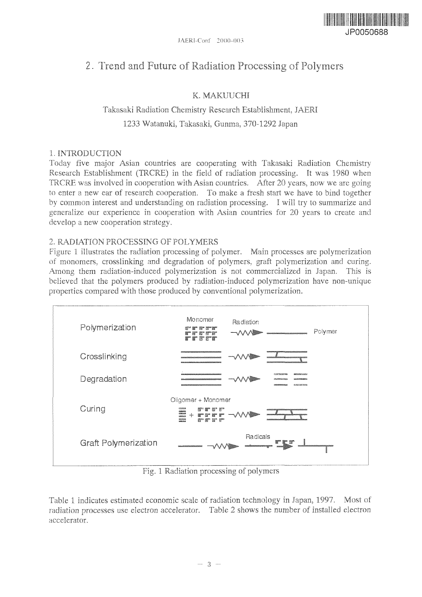

# 2. Trend and Future of Radiation Processing of Polymers

### **K. MAKUUCHI**

## Takasaki Radiation Chemistry Research Establishment, JAERI 1233 **Watanuki,** Takasaki, Gunma, 370-1292 Japan

#### 1. **INTRODUCTION**

Today **five** major Asian countries are cooperating with Takasaki Radiation Chemistry Research **Establishment** (TRCRE) in the field of radiation processing. It was 1980 when **TRCRE** was involved in cooperation with Asian countries. After 20 years, now we are going to enter a new ear of research cooperation. To make a fresh start we have to bind together by common interest and understanding on radiation processing. I will try to summarize and generalize our experience in cooperation with Asian countries for 20 years to create and develop a new cooperation strategy.

#### 2. RADIATION PROCESSING OF POLYMERS

Figure 1 illustrates the radiation processing of polymer. Main processes are polymerization of monomers, **crosslinking** and degradation of polymers, graft polymerization and curing. Among them radiation-induced polymerization is not commercialized in Japan. This is believed that the polymers produced by radiation-induced polymerization have non-unique properties compared with those produced by conventional polymerization.



Fig. 1 Radiation processing of polymers

Table 1 indicates estimated **economic** scale **of** radiation technology in Japan. 1997, Most of radiation processes use electron accelerator. Table 2 shows the number **of** installed electron accelerator.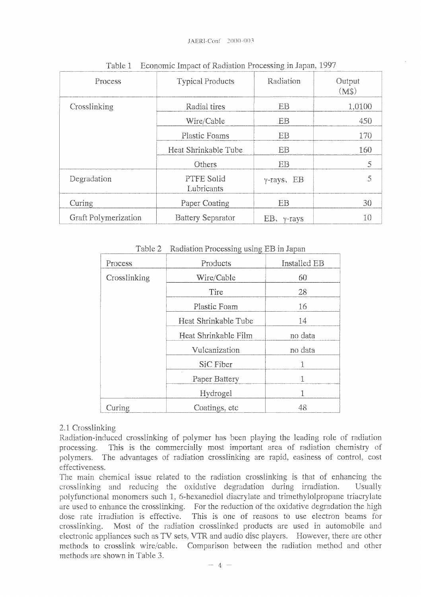| Process              | <b>Typical Products</b>  | Radiation             | Output<br>(M\$) |
|----------------------|--------------------------|-----------------------|-----------------|
| Crosslinking         | Radial tires             | EB                    | 1,0100          |
|                      | Wire/Cable               | EB                    | 450             |
|                      | <b>Plastic Foams</b>     | EB                    | 170             |
|                      | Heat Shrinkable Tube     | EB                    | 160             |
|                      | Others                   | <b>EB</b>             | 5               |
| Degradation          | PTFE Solid<br>Lubricants | $\gamma$ -rays, EB    | 5               |
| Curing               | Paper Coating            | EB                    | 30              |
| Graft Polymerization | <b>Battery Separator</b> | $EB$ , $\gamma$ -rays | 10              |

Table 1 Economic Impact of Radiation Processing in Japan, 1997

Table 2 Radiation Processing using EB in Japan

| Process      | Products             | Installed EB |
|--------------|----------------------|--------------|
| Crosslinking | Wire/Cable           | 60           |
|              | Tire                 | 28           |
|              | Plastic Foam         | 16           |
|              | Heat Shrinkable Tube | 14           |
|              | Heat Shrinkable Film | no data      |
|              | Vulcanization        | no data      |
|              | SiC Fiber            | 1            |
|              | Paper Battery        | 1            |
|              | Hydrogel             |              |
| Curing       | Coatings, etc.       | 48           |

#### 2.1 Crosslinking

Radiation-induced crosslinking of polymer has been playing the leading role of radiation processing. This is the commercially most important area **of** radiation chemistry **of** polymers. The advantages of radiation **crosslinking** are rapid, **easiness** of control, cost effectiveness.

The main chemical issue related to the radiation **crosslinking** is that of enhancing the crosslinking and reducing the oxidative degradation during irradiation. **Usually polyfunctional** monomers such *1,* 6-hexanediol diacrylate and **trimethylolpropane** triacrylate are used to enhance the crosslinking. For the reduction of the oxidative degradation the high dose rate irradiation is effective. This is one of reasons to use electron beams for crosslinking. Most of the radiation crosslinked products are used in automobile and electronic appliances such as TV sets, VTR and audio disc players. However, there are other methods to crosslink wire/cable. Comparison between the radiation method and other methods are shown in Table 3.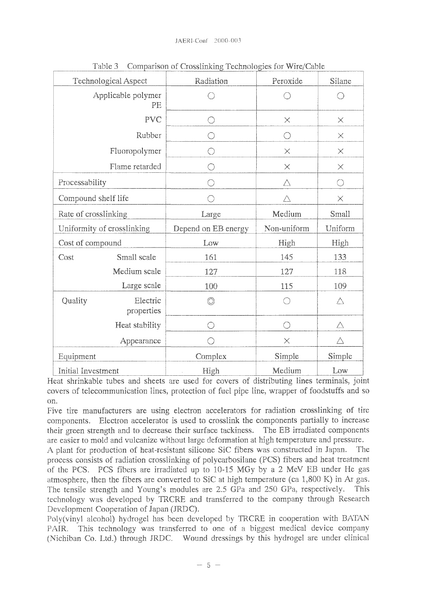|                            | Technological Aspect     | Radiation           | Peroxide    | Silane   |
|----------------------------|--------------------------|---------------------|-------------|----------|
|                            | Applicable polymer<br>PE |                     |             |          |
|                            | <b>PVC</b>               | O                   | $\times$    | $\times$ |
|                            | Rubber                   | O                   | O           | $\times$ |
|                            | Fluoropolymer            | O                   | $\times$    | $\times$ |
|                            | Flame retarded           | O                   | $\times$    | $\times$ |
| Processability             |                          | ()                  | $\triangle$ | Ο        |
| Compound shelf life        |                          | ⌒                   | Л           | $\times$ |
| Rate of crosslinking       |                          | Large               | Medium      | Small    |
| Uniformity of crosslinking |                          |                     |             |          |
|                            |                          | Depend on EB energy | Non-uniform | Uniform  |
| Cost of compound           |                          | Low                 | High        | High     |
| Cost                       | Small scale              | 161                 | 145         | 133      |
|                            | Medium scale             | 127                 | 127         | 118      |
|                            | Large scale              | 100                 | 115         | 109      |
| Quality                    | Electric<br>properties   | O)                  | ∩           | Δ        |
|                            | Heat stability           | ∩                   | ○           | Δ        |
|                            | Appearance               |                     | $\times$    | Λ        |
| Equipment                  |                          | Complex             | Simple      | Simple   |

Table 3 Comparison of Crosslinking Technologies for Wire/Cable

Heat shrinkable tubes and sheets are used for covers of distributing lines terminals, joint covers of telecommunication lines, protection of fuel pipe line, wrapper of foodstuffs and so on.

Five tire manufacturers are using electron accelerators for radiation crosslinking of tire components. Electron accelerator is used to crosslink the components partially to increase their green strength and to decrease their surface tackiness. The EB irradiated components are easier to mold and vulcanize without large deformation at high temperature and pressure.

A plant for production of heat-resistant silicone SiC fibers was constructed in Japan. The process consists of radiation crosslinking of polycarbosilane (PCS) fibers and heat treatment of the PCS. PCS fibers are irradiated up to 10-15 MGy by a 2 MeV EB under He gas atmosphere, then the fibers are converted to SiC at high temperature (ca  $1,800$  K) in Ar gas. The tensile strength and Young's modules are 2.5 GPa and 250 GPa, respectively. This technology was developed by TRCRE and transferred to the company through Research Development Cooperation of Japan (JRDC).

**Poly(vinyl** alcohol) **hydrogel** has been developed by TRCRE in cooperation with BATAN PAIR. This technology was transferred to one of a biggest medical device company **(Nichiban** Co. Ltd.) through JRDC. Wound dressings by this hydrogel are under clinical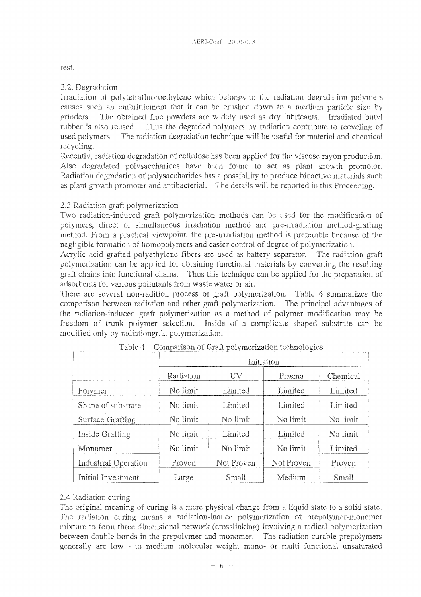test.

#### 2.2. Degradation

Irradiation of **polytetrafluoroethylene** which belongs to the radiation, degradation polymers causes such, an embriftlement that it can be crushed down to a medium particle size by grinders. The obtained fine powders are widely used as dry lubricants. Irradiated butyl rubber is also reused. Thus the degraded polymers by radiation contribute to recycling of used polymers. The radiation degradation technique will be useful for material and chemical recycling.

Recently, radiation degradation of cellulose has been applied for the viscose rayon production. Also degradated polysaccharides have been found to act as plant growth promotor. Radiation degradation of polysaccharides has a possibility to produce bioactive materials such as plant growth promoter and antibacterial. The details **will** be reported in this Proceeding.

#### 2.3 Radiation graft polymerization

Two radiation-induced graft polymerization methods can be used for the modification of polymers, direct or simultaneous irradiation method and pre-irradiation method-grafting method. From a practical viewpoint, the pre-irradiation method is preferable because of the negligible formation of homopolymers and easier control of degree of polymerization.

Acrylic acid grafted polyethylene fibers are used as battery separator. The radiation graft polymerization can be applied for obtaining functional materials by converting the resulting graft chains into functional chains. Thus this technique can be applied for the preparation of adsorbents for various pollutants from waste water or air.

There are several non-radition process of graft polymerization. Table 4 summarizes the comparison between radiation and other graft polymerization. The principal advantages of the radiation-induced graft polymerization as a method of polymer modification may be freedom of trunk polymer selection. Inside of a complicate shaped substrate can be modified only by radiationgrfat polymerization.

|                             | Initiation |            |            |          |
|-----------------------------|------------|------------|------------|----------|
|                             | Radiation  | UV         | Plasma     | Chemical |
| Polymer                     | No limit   | Limited    | Limited    | Limited  |
| Shape of substrate          | No limit   | Limited    | Limited    | Limited  |
| Surface Grafting            | No limit   | No limit   | No limit   | No limit |
| Inside Grafting             | No limit   | Limited    | Limited    | No limit |
| Monomer                     | No limit   | No limit   | No limit   | Limited  |
| <b>Industrial Operation</b> | Proven     | Not Proven | Not Proven | Proven   |
| Initial Investment          | Large      | Small      | Medium     | Small    |

|  | Table 4 Comparison of Graft polymerization technologies |  |
|--|---------------------------------------------------------|--|
|  |                                                         |  |

#### 2.4 Radiation curing

The original meaning of curing is a mere physical change from a liquid state to a solid state. The radiation curing means a radiation-induce polymerization of **prepolymer-monomer** mixture to form three dimensional network (crosslinking) involving a radical polymerization between double bonds in the prepolymer and monomer. The radiation curable **prepolymers** generally are low - to medium molecular weight mono- or **muiti** functional **unsaturated**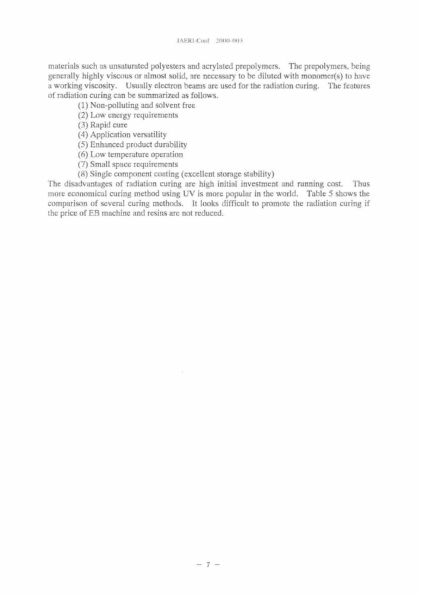materials such as unsaturated polyesters and acrylated prepolymers. The prepolymers, being generally highly viscous or almost solid, are necessary to be diluted with monomer(s) to have a working viscosity. Usually electron beams are used for the radiation curing. The features of radiation curing can be summarized as follows.

(1) Non-polluting and solvent free

(2) Low energy requirements

(3) Rapid cure

- (4) Application versatility
- (5) Enhanced product durability
- (6) Low temperature operation
- (7) Small space requirements
- (8) Single component coating (excellent storage stability)

The disadvantages of radiation curing are high initial investment and running cost. Thus more economical curing method using UV is more popular in the world. Table 5 shows the comparison of several curing methods. It looks difficult to promote the radiation curing if the price of EB machine and resins are not reduced.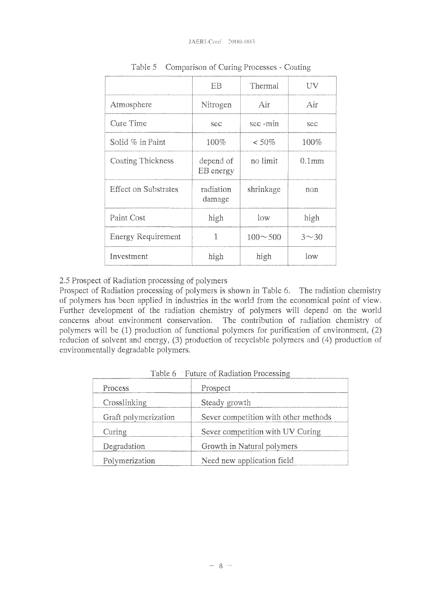|                             | EB                     | Thermal        | UV                |
|-----------------------------|------------------------|----------------|-------------------|
| Atmosphere                  | Nitrogen               | Air            | Air               |
| Cure Time                   | sec                    | sec-min        | sec               |
| Solid % in Paint            | 100%                   | $< 50\%$       | 100%              |
| Coating Thickness           | depend of<br>EB energy | no limit       | 0.1 <sub>mm</sub> |
| <b>Effect on Substrates</b> | radiation<br>damage    | shrinkage      | non               |
| Paint Cost                  | high                   | low            | high              |
| Energy Requirement          | 1                      | $100 \sim 500$ | $3 - 30$          |
| Investment                  | high                   | high           | low               |

Table 5 Comparison of Curing Processes - Coating

2.5 Prospect of Radiation processing of polymers

Prospect of Radiation processing of polymers is shown in Table 6. The radiation chemistry of polymers has been applied in industries in the world from the economical point of view. Further development of the radiation chemistry of polymers will depend on the world concerns about environment conservation. The contribution of radiation chemistry of polymers **will** be (1) production of functional polymers for purification of environment, (2) **reducion** of solvent and energy, (3) production of recyclable polymers and (4) production of environmentally degradable polymers.

| Process              | Prospect                             |
|----------------------|--------------------------------------|
| Crosslinking         | Steady growth                        |
| Graft polymerization | Sever competition with other methods |
| Curing               | Sever competition with UV Curing     |
| Degradation          | Growth in Natural polymers           |
| Polymerization       | Need new application field           |

Table 6 ' Future of Radiation Processing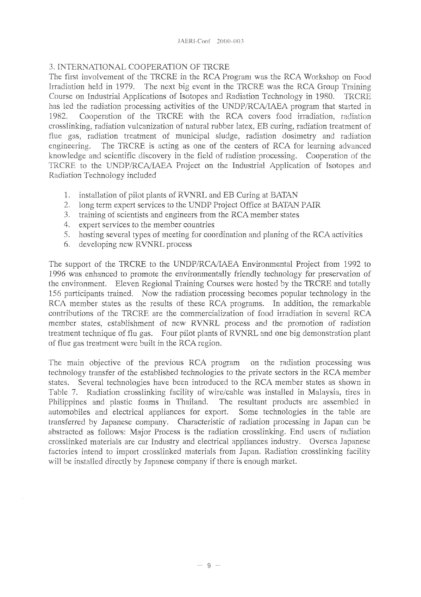#### 3. INTERNATIONAL COOPERATION OF TRCRE

The first involvement of the TRCRE in the RCA Program was the RCA Workshop on Food Irradiation held in 1979. The next big event in the TRCRE was the RCA Group Training Course on Industrial Applications of Isotopes and Radiation Technology in 1980. TRCRE has led the radiation processing activities of the UNDP/RCA/IAEA program that started in 1982. Cooperation of the TRCRE with the RCA covers food irradiation, radiation crosslinking, radiation vulcanization of natural rubber latex, EB curing, radiation treatment of flue gas, radiation treatment of municipal sludge, radiation dosimetry and radiation engineering. The TRCRE is acting as one of the centers of RCA for learning advanced knowledge and scientific discovery in the field of radiation processing. Cooperation of the TRCRE **to** the **UNDP/RCA/IAEA** Project on the Industrial Application of Isotopes and Radiation Technology included

- 1. installation, of pilot plants of RVNRL and EB Curing at **BATAN**
- 2. long term expert services to the UNDP Project Office at BATAN PAIR
- 3. training of scientists and engineers from the RCA member states
- 4. expert services to the member countries
- 5. hosting several types of meeting for coordination and planing of the RCA activities
- 6. developing new RVNRL process

The support of the TRCRE to the UNDP/RCA/IAEA Environmental Project from 1992 to 1996 was enhanced to promote the environmentally friendly technology for preservation of the environment. Eleven Regional Training Courses were hosted by the TRCRE and totally 156 participants trained. Now the radiation processing becomes popular technology in the RCA member states as the results of these RCA programs. In addition, the remarkable contributions of the TRCRE are the commercialization of food irradiation in several RCA member states, establishment of new RVNRL process and the promotion of radiation treatment technique of flu gas. Four pilot plants of RVNRL and one big demonstration plant of flue gas treatment were built in the RCA region.

The main objective of the previous RCA program on the radiation processing was technology transfer of the established technologies to the private sectors in the RCA member states. Several technologies have been introduced to the RCA member states as shown in Table 7. Radiation crosslinking facility of wire/cable was installed in Malaysia, tires in Philippines and plastic foams in Thailand. The resultant products are assembled in automobiles and electrical appliances for export. Some technologies in the table are transferred by Japanese company. Characteristic of radiation processing in Japan can be abstracted as follows: Major Process is the radiation crosslinking. End users of radiation crosslinked materials are car Industry and electrical appliances industry. Oversea Japanese factories intend to import crosslinked materials from Japan. Radiation crosslinking facility will be installed directly by Japanese company if there is enough market.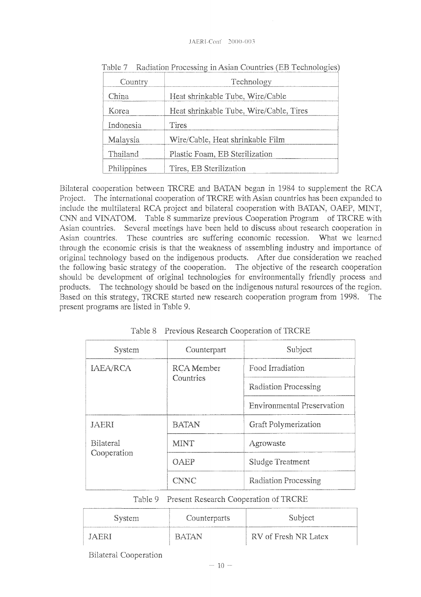#### JAERl-Conf 2000-003

| Country     | Technology                              |
|-------------|-----------------------------------------|
| China       | Heat shrinkable Tube, Wire/Cable        |
| Korea       | Heat shrinkable Tube, Wire/Cable, Tires |
| Indonesia   | Tires                                   |
| Malaysia    | Wire/Cable, Heat shrinkable Film        |
| Thailand    | Plastic Foam, EB Sterilization          |
| Philippines | Tires, EB Sterilization                 |

Table 7 Radiation Processing in Asian Countries (EB Technologies)

Bilateral cooperation between TRCRE and BATAN began in 1984 to supplement the RCA Project. The international cooperation of TRCRE with Asian countries has been expanded to include the multilateral RCA project and bilateral cooperation with BATAN, OAEP, MINT, CNN and VINATOM. Table 8 summarize previous Cooperation Program of TRCRE with Asian countries. Several meetings have been held to discuss about research cooperation in Asian countries. These countries are suffering economic recession. What we learned through the economic crisis is that the weakness of assembling industry and importance of original technology based on the indigenous products. After due consideration we reached the following basic strategy of the cooperation. The objective of the research cooperation should be development of original technologies for environmentally friendly process and products. The technology should be based on the indigenous natural resources of the region. Based on this strategy, TRCRE started new research cooperation program from 1998. The present programs are listed in Table 9.

| System           | Counterpart  | Subject                           |
|------------------|--------------|-----------------------------------|
| IAEA/RCA         | RCA Member   | Food Irradiation                  |
|                  | Countries    | Radiation Processing              |
|                  |              | <b>Environmental Preservation</b> |
| <b>JAERI</b>     | <b>BATAN</b> | Graft Polymerization              |
| <b>Bilateral</b> | <b>MINT</b>  | Agrowaste                         |
| Cooperation      | <b>OAEP</b>  | Sludge Treatment                  |
|                  | <b>CNNC</b>  | Radiation Processing              |

Table 8 Previous Research Cooperation of TRCRE

Table 9 Present Research Cooperation of TRCRE

| <b>System</b> | Counterparts | Subject              |
|---------------|--------------|----------------------|
| I A FR I      | RATAN        | RV of Fresh NR Latex |

Bilateral Cooperation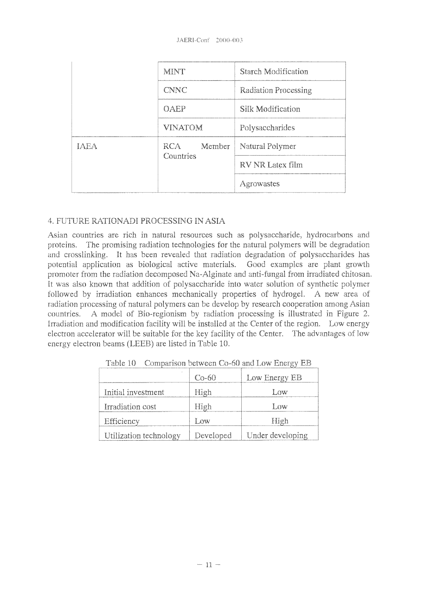|             | <b>MINT</b>    | Starch Modification  |
|-------------|----------------|----------------------|
|             | <b>CNNC</b>    | Radiation Processing |
|             | OAEP           | Silk Modification    |
|             | <b>VINATOM</b> | Polysaccharides      |
| <b>IAEA</b> | RCA<br>Member  | Natural Polymer      |
|             | Countries      | RV NR Latex film     |
|             |                | Agrowastes           |

#### 4. FUTURE RATIONADI PROCESSING IN ASIA

Asian countries are rich in natural resources such as polysaccharide, hydrocarbons and proteins. The promising radiation technologies for the natural polymers will be degradation and crosslinking. It has been revealed that radiation degradation of polysaccharides has potential application as biological active materials. Good examples are plant growth promoter from the radiation decomposed Na-Alginate and anti-fungal from irradiated chitosan. It was also known that addition of polysaccharide into water solution of synthetic polymer followed by irradiation enhances mechanically properties of **hydrogel.** A new area of radiation processing of natural polymers can be develop by research cooperation among Asian countries. A model of Bio-regionism by radiation processing is illustrated in Figure 2. Irradiation and modification facility will be installed at the Center of the region. Low energy electron accelerator will be suitable for the key facility of the Center. The advantages of lowenergy electron beams **(LEEB)** are listed in Table 10.

|                        | $Co-60$   | Low Energy EB    |
|------------------------|-----------|------------------|
| Initial investment     | High      | Low              |
| Irradiation cost       | High      | Low              |
| Efficiency             | Low       | High             |
| Utilization technology | Developed | Under developing |

Table 10 Comparison between Co-60 and Low Energy EB